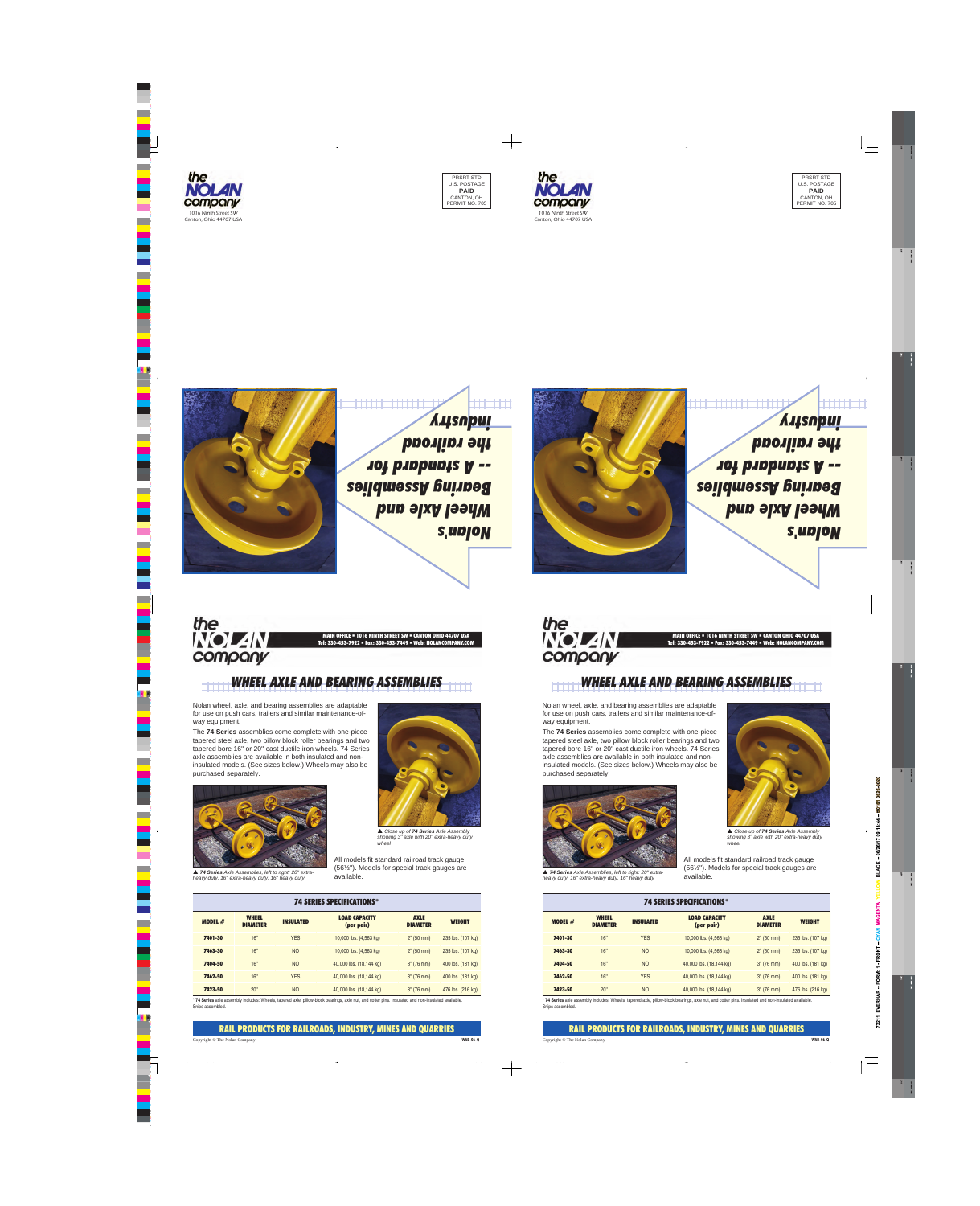

## *WHE AND BEARING ASSEMBLI*

Nolan wheel, axle, and bearing assemblies are adaptable for use on push cars, trailers and similar maintenance-ofway equipment.

The **74 Series** assemblies come complete with one-piece tapered steel axle, two pillow block roller bearings and two tapered bore 16'' or 20'' cast ductile iron wheels. 74 Series axle assemblies are available in both insulated and noninsulated models. (See sizes below.) Wheels may also be purchased separately.



▲ 74 Series Axle Assemblies, left to right: 20" extra-<br>
available. <br>
available. 
<br>
available. *heavy duty, 16'' extra-heavy duty, 16'' heavy duty*



 *Close up of <sup>74</sup> Series Axle Assembly showing 3'' axle with 20'' extra-heavy duty wheel*

All models fit standard railroad track gauge (56½''). Models for special track gauges are

| <b>74 SERIES SPECIFICATIONS*</b> |                                 |                  |                                    |                                |                   |
|----------------------------------|---------------------------------|------------------|------------------------------------|--------------------------------|-------------------|
| <b>MODEL <math>#</math></b>      | <b>WHEEL</b><br><b>DIAMETER</b> | <b>INSULATED</b> | <b>LOAD CAPACITY</b><br>(per pair) | <b>AXLE</b><br><b>DIAMETER</b> | <b>WEIGHT</b>     |
| 7401-30                          | 16"                             | <b>YES</b>       | 10,000 lbs. (4,563 kg)             | $2^{\circ}$ (50 mm)            | 235 lbs. (107 kg) |
| 7463-30                          | 16"                             | <b>NO</b>        | 10,000 lbs. (4,563 kg)             | 2" (50 mm)                     | 235 lbs. (107 kg) |
| 7404-50                          | 16"                             | <b>NO</b>        | 40,000 lbs. (18,144 kg)            | $3''$ (76 mm)                  | 400 lbs. (181 kg) |
| 7462-50                          | 16"                             | <b>YES</b>       | 40,000 lbs. (18,144 kg)            | $3''$ (76 mm)                  | 400 lbs. (181 kg) |
| 7423-50                          | 20"                             | <b>NO</b>        | 40,000 lbs. (18,144 kg)            | $3''$ (76 mm)                  | 476 lbs. (216 kg) |

\* **74 Series** axle assembly includes: Wheels, tapered axle, pillow-block bearings, axle nut, and cotter pins. Insulated and non-insulated available. Snips assembled.

RAIL PRODUCTS FOR RAILROADS, INDUSTRY, MINES AND QUARRIES

## Copyright © The Nolan Company **WAB-06-Q**